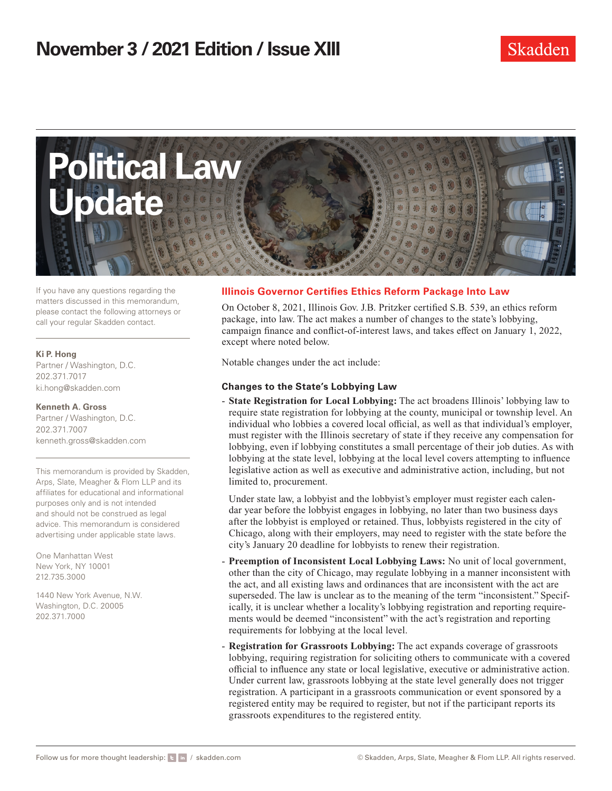

If you have any questions regarding the matters discussed in this memorandum, please contact the following attorneys or call your regular Skadden contact.

#### **Ki P. Hong**

Partner / Washington, D.C. 202.371.7017 ki.hong@skadden.com

#### **Kenneth A. Gross**

Partner / Washington, D.C. 202.371.7007 kenneth.gross@skadden.com

This memorandum is provided by Skadden, Arps, Slate, Meagher & Flom LLP and its affiliates for educational and informational purposes only and is not intended and should not be construed as legal advice. This memorandum is considered advertising under applicable state laws.

One Manhattan West New York, NY 10001 212.735.3000

1440 New York Avenue, N.W. Washington, D.C. 20005 202.371.7000

### **Illinois Governor Certifies Ethics Reform Package Into Law**

On October 8, 2021, Illinois Gov. J.B. Pritzker certified S.B. 539, an ethics reform package, into law. The act makes a number of changes to the state's lobbying, campaign finance and conflict-of-interest laws, and takes effect on January 1, 2022, except where noted below.

Notable changes under the act include:

### **Changes to the State's Lobbying Law**

- **State Registration for Local Lobbying:** The act broadens Illinois' lobbying law to require state registration for lobbying at the county, municipal or township level. An individual who lobbies a covered local official, as well as that individual's employer, must register with the Illinois secretary of state if they receive any compensation for lobbying, even if lobbying constitutes a small percentage of their job duties. As with lobbying at the state level, lobbying at the local level covers attempting to influence legislative action as well as executive and administrative action, including, but not limited to, procurement.

Under state law, a lobbyist and the lobbyist's employer must register each calendar year before the lobbyist engages in lobbying, no later than two business days after the lobbyist is employed or retained. Thus, lobbyists registered in the city of Chicago, along with their employers, may need to register with the state before the city's January 20 deadline for lobbyists to renew their registration.

- **Preemption of Inconsistent Local Lobbying Laws:** No unit of local government, other than the city of Chicago, may regulate lobbying in a manner inconsistent with the act, and all existing laws and ordinances that are inconsistent with the act are superseded. The law is unclear as to the meaning of the term "inconsistent." Specifically, it is unclear whether a locality's lobbying registration and reporting requirements would be deemed "inconsistent" with the act's registration and reporting requirements for lobbying at the local level.
- **Registration for Grassroots Lobbying:** The act expands coverage of grassroots lobbying, requiring registration for soliciting others to communicate with a covered official to influence any state or local legislative, executive or administrative action. Under current law, grassroots lobbying at the state level generally does not trigger registration. A participant in a grassroots communication or event sponsored by a registered entity may be required to register, but not if the participant reports its grassroots expenditures to the registered entity.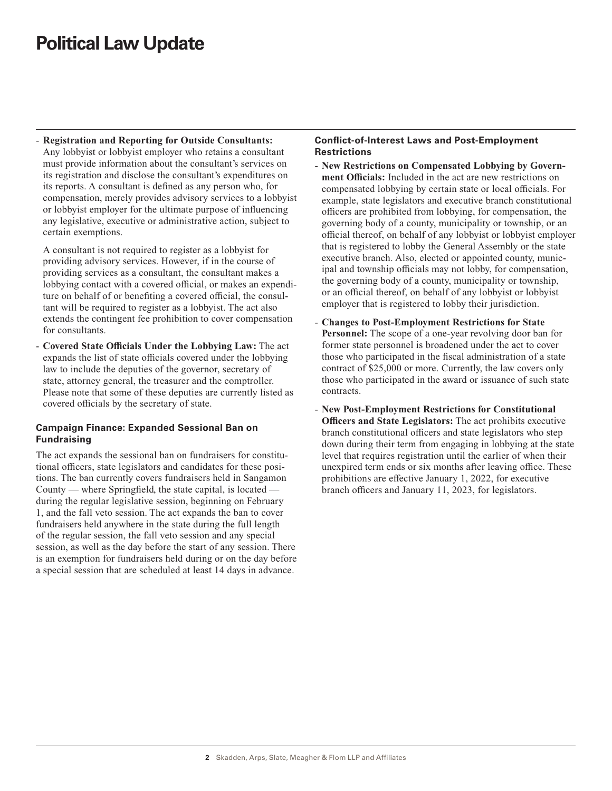# **Political Law Update**

- **Registration and Reporting for Outside Consultants:** Any lobbyist or lobbyist employer who retains a consultant must provide information about the consultant's services on its registration and disclose the consultant's expenditures on its reports. A consultant is defined as any person who, for compensation, merely provides advisory services to a lobbyist or lobbyist employer for the ultimate purpose of influencing any legislative, executive or administrative action, subject to certain exemptions.

A consultant is not required to register as a lobbyist for providing advisory services. However, if in the course of providing services as a consultant, the consultant makes a lobbying contact with a covered official, or makes an expenditure on behalf of or benefiting a covered official, the consultant will be required to register as a lobbyist. The act also extends the contingent fee prohibition to cover compensation for consultants.

- **Covered State Officials Under the Lobbying Law:** The act expands the list of state officials covered under the lobbying law to include the deputies of the governor, secretary of state, attorney general, the treasurer and the comptroller. Please note that some of these deputies are currently listed as covered officials by the secretary of state.

### **Campaign Finance: Expanded Sessional Ban on Fundraising**

The act expands the sessional ban on fundraisers for constitutional officers, state legislators and candidates for these positions. The ban currently covers fundraisers held in Sangamon County — where Springfield, the state capital, is located during the regular legislative session, beginning on February 1, and the fall veto session. The act expands the ban to cover fundraisers held anywhere in the state during the full length of the regular session, the fall veto session and any special session, as well as the day before the start of any session. There is an exemption for fundraisers held during or on the day before a special session that are scheduled at least 14 days in advance.

### **Conflict-of-Interest Laws and Post-Employment Restrictions**

- **New Restrictions on Compensated Lobbying by Government Officials:** Included in the act are new restrictions on compensated lobbying by certain state or local officials. For example, state legislators and executive branch constitutional officers are prohibited from lobbying, for compensation, the governing body of a county, municipality or township, or an official thereof, on behalf of any lobbyist or lobbyist employer that is registered to lobby the General Assembly or the state executive branch. Also, elected or appointed county, municipal and township officials may not lobby, for compensation, the governing body of a county, municipality or township, or an official thereof, on behalf of any lobbyist or lobbyist employer that is registered to lobby their jurisdiction.
- **Changes to Post-Employment Restrictions for State Personnel:** The scope of a one-year revolving door ban for former state personnel is broadened under the act to cover those who participated in the fiscal administration of a state contract of \$25,000 or more. Currently, the law covers only those who participated in the award or issuance of such state contracts.
- **New Post-Employment Restrictions for Constitutional Officers and State Legislators:** The act prohibits executive branch constitutional officers and state legislators who step down during their term from engaging in lobbying at the state level that requires registration until the earlier of when their unexpired term ends or six months after leaving office. These prohibitions are effective January 1, 2022, for executive branch officers and January 11, 2023, for legislators.